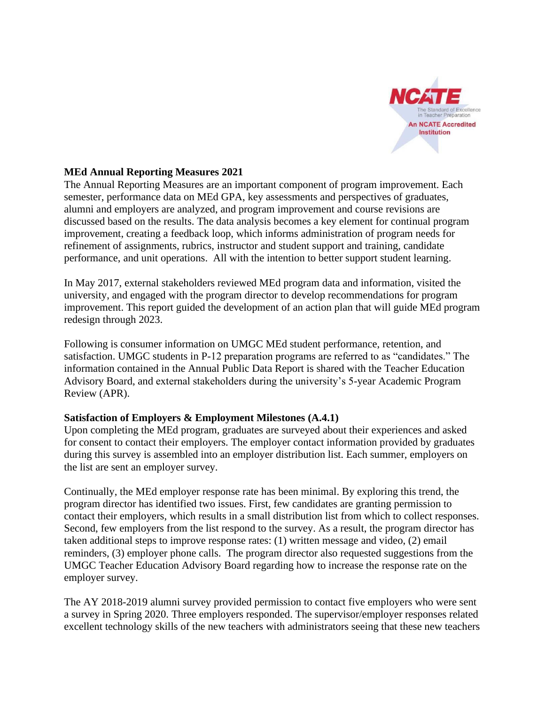

## **MEd Annual Reporting Measures 2021**

The Annual Reporting Measures are an important component of program improvement. Each semester, performance data on MEd GPA, key assessments and perspectives of graduates, alumni and employers are analyzed, and program improvement and course revisions are discussed based on the results. The data analysis becomes a key element for continual program improvement, creating a feedback loop, which informs administration of program needs for refinement of assignments, rubrics, instructor and student support and training, candidate performance, and unit operations. All with the intention to better support student learning.

In May 2017, external stakeholders reviewed MEd program data and information, visited the university, and engaged with the program director to develop recommendations for program improvement. This report guided the development of an action plan that will guide MEd program redesign through 2023.

Following is consumer information on UMGC MEd student performance, retention, and satisfaction. UMGC students in P-12 preparation programs are referred to as "candidates." The information contained in the Annual Public Data Report is shared with the Teacher Education Advisory Board, and external stakeholders during the university's 5-year Academic Program Review (APR).

## **Satisfaction of Employers & Employment Milestones (A.4.1)**

Upon completing the MEd program, graduates are surveyed about their experiences and asked for consent to contact their employers. The employer contact information provided by graduates during this survey is assembled into an employer distribution list. Each summer, employers on the list are sent an employer survey.

Continually, the MEd employer response rate has been minimal. By exploring this trend, the program director has identified two issues. First, few candidates are granting permission to contact their employers, which results in a small distribution list from which to collect responses. Second, few employers from the list respond to the survey. As a result, the program director has taken additional steps to improve response rates: (1) written message and video, (2) email reminders, (3) employer phone calls. The program director also requested suggestions from the UMGC Teacher Education Advisory Board regarding how to increase the response rate on the employer survey.

The AY 2018-2019 alumni survey provided permission to contact five employers who were sent a survey in Spring 2020. Three employers responded. The supervisor/employer responses related excellent technology skills of the new teachers with administrators seeing that these new teachers